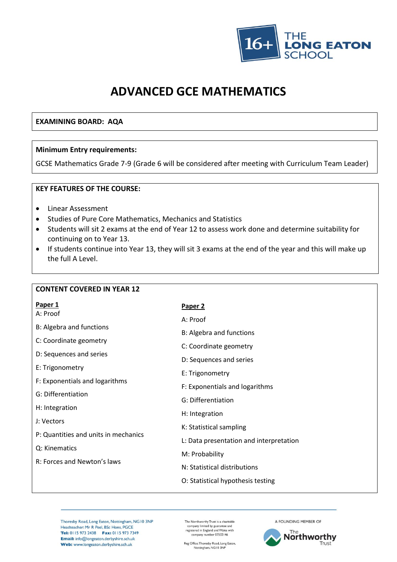

# **ADVANCED GCE MATHEMATICS**

#### **EXAMINING BOARD: AQA**

#### **Minimum Entry requirements:**

GCSE Mathematics Grade 7-9 (Grade 6 will be considered after meeting with Curriculum Team Leader)

#### **KEY FEATURES OF THE COURSE:**

- Linear Assessment
- Studies of Pure Core Mathematics, Mechanics and Statistics
- Students will sit 2 exams at the end of Year 12 to assess work done and determine suitability for continuing on to Year 13.
- If students continue into Year 13, they will sit 3 exams at the end of the year and this will make up the full A Level.

| <b>CONTENT COVERED IN YEAR 12</b>    |                                         |  |  |
|--------------------------------------|-----------------------------------------|--|--|
| Paper 1<br>A: Proof                  | Paper 2                                 |  |  |
|                                      | A: Proof                                |  |  |
| B: Algebra and functions             | B: Algebra and functions                |  |  |
| C: Coordinate geometry               | C: Coordinate geometry                  |  |  |
| D: Sequences and series              | D: Sequences and series                 |  |  |
| E: Trigonometry                      | E: Trigonometry                         |  |  |
| F: Exponentials and logarithms       | F: Exponentials and logarithms          |  |  |
| G: Differentiation                   | G: Differentiation                      |  |  |
| H: Integration                       | H: Integration                          |  |  |
| J: Vectors                           | K: Statistical sampling                 |  |  |
| P: Quantities and units in mechanics | L: Data presentation and interpretation |  |  |
| Q: Kinematics                        | M: Probability                          |  |  |
| R: Forces and Newton's laws          | N: Statistical distributions            |  |  |
|                                      | O: Statistical hypothesis testing       |  |  |
|                                      |                                         |  |  |

Thoresby Road, Long Eaton, Nottingham, NG10 3NP Headteacher: Mr R Peel, BSc Hons, PGCE Tel: 0115 973 2438 Fax: 0115 973 7349 Email: info@longeaton.derbyshire.sch.uk Web: www.longeaton.derbyshire.sch.uk

The Northworthy Trust is a charitable company limited by guarantee and<br>registered in England and Wales with<br>company number 07532146

Reg Office: Thoresby Road, Long Eaton,<br>Nottingham, NG10 3NP

A FOUNDING MEMBER OF